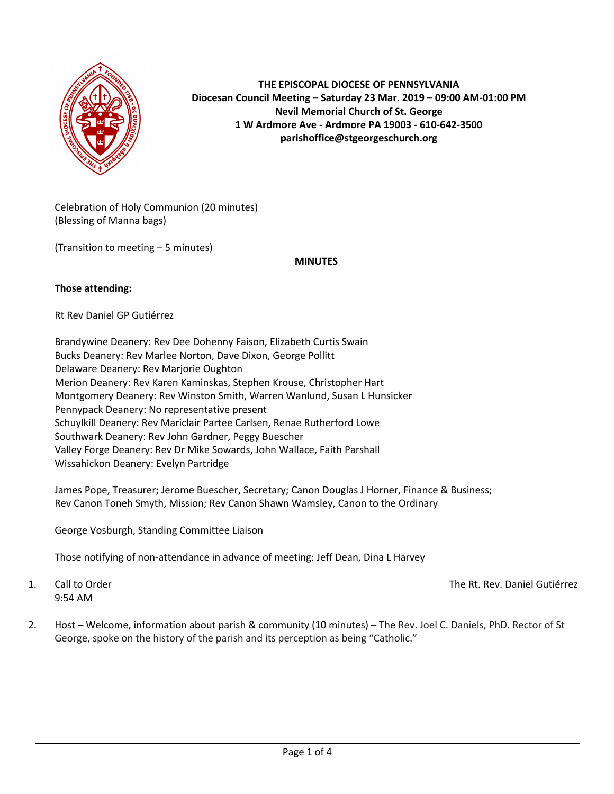

**THE EPISCOPAL DIOCESE OF PENNSYLVANIA Diocesan Council Meeting – Saturday 23 Mar. 2019 – 09:00 AM-01:00 PM Nevil Memorial Church of St. George 1 W Ardmore Ave - Ardmore PA 19003 - 610-642-3500 parishoffice@stgeorgeschurch.org**

Celebration of Holy Communion (20 minutes) (Blessing of Manna bags)

(Transition to meeting – 5 minutes)

**MINUTES**

#### **Those attending:**

Rt Rev Daniel GP Gutiérrez

Brandywine Deanery: Rev Dee Dohenny Faison, Elizabeth Curtis Swain Bucks Deanery: Rev Marlee Norton, Dave Dixon, George Pollitt Delaware Deanery: Rev Marjorie Oughton Merion Deanery: Rev Karen Kaminskas, Stephen Krouse, Christopher Hart Montgomery Deanery: Rev Winston Smith, Warren Wanlund, Susan L Hunsicker Pennypack Deanery: No representative present Schuylkill Deanery: Rev Mariclair Partee Carlsen, Renae Rutherford Lowe Southwark Deanery: Rev John Gardner, Peggy Buescher Valley Forge Deanery: Rev Dr Mike Sowards, John Wallace, Faith Parshall Wissahickon Deanery: Evelyn Partridge

James Pope, Treasurer; Jerome Buescher, Secretary; Canon Douglas J Horner, Finance & Business; Rev Canon Toneh Smyth, Mission; Rev Canon Shawn Wamsley, Canon to the Ordinary

George Vosburgh, Standing Committee Liaison

Those notifying of non-attendance in advance of meeting: Jeff Dean, Dina L Harvey

9:54 AM

1. Call to Order The Rt. Rev. Daniel Gutiérrez

2. Host – Welcome, information about parish & community (10 minutes) – The Rev. Joel C. Daniels, PhD. Rector of St George, spoke on the history of the parish and its perception as being "Catholic."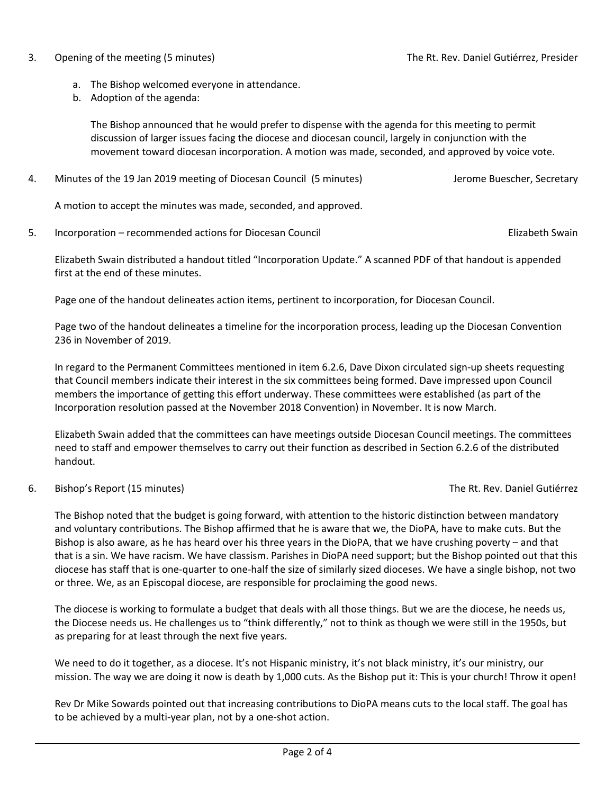#### 3. Opening of the meeting (5 minutes) The Rt. Rev. Daniel Gutiérrez, Presider

- a. The Bishop welcomed everyone in attendance.
- b. Adoption of the agenda:

The Bishop announced that he would prefer to dispense with the agenda for this meeting to permit discussion of larger issues facing the diocese and diocesan council, largely in conjunction with the movement toward diocesan incorporation. A motion was made, seconded, and approved by voice vote.

4. Minutes of the 19 Jan 2019 meeting of Diocesan Council (5 minutes) Jerome Buescher, Secretary

A motion to accept the minutes was made, seconded, and approved.

5. Incorporation – recommended actions for Diocesan Council Elizabeth Swain

Elizabeth Swain distributed a handout titled "Incorporation Update." A scanned PDF of that handout is appended first at the end of these minutes.

Page one of the handout delineates action items, pertinent to incorporation, for Diocesan Council.

Page two of the handout delineates a timeline for the incorporation process, leading up the Diocesan Convention 236 in November of 2019.

In regard to the Permanent Committees mentioned in item 6.2.6, Dave Dixon circulated sign-up sheets requesting that Council members indicate their interest in the six committees being formed. Dave impressed upon Council members the importance of getting this effort underway. These committees were established (as part of the Incorporation resolution passed at the November 2018 Convention) in November. It is now March.

Elizabeth Swain added that the committees can have meetings outside Diocesan Council meetings. The committees need to staff and empower themselves to carry out their function as described in Section 6.2.6 of the distributed handout.

6. Bishop's Report (15 minutes) The Rt. Rev. Daniel Gutiérrez

The Bishop noted that the budget is going forward, with attention to the historic distinction between mandatory and voluntary contributions. The Bishop affirmed that he is aware that we, the DioPA, have to make cuts. But the Bishop is also aware, as he has heard over his three years in the DioPA, that we have crushing poverty – and that that is a sin. We have racism. We have classism. Parishes in DioPA need support; but the Bishop pointed out that this diocese has staff that is one-quarter to one-half the size of similarly sized dioceses. We have a single bishop, not two or three. We, as an Episcopal diocese, are responsible for proclaiming the good news.

The diocese is working to formulate a budget that deals with all those things. But we are the diocese, he needs us, the Diocese needs us. He challenges us to "think differently," not to think as though we were still in the 1950s, but as preparing for at least through the next five years.

We need to do it together, as a diocese. It's not Hispanic ministry, it's not black ministry, it's our ministry, our mission. The way we are doing it now is death by 1,000 cuts. As the Bishop put it: This is your church! Throw it open!

Rev Dr Mike Sowards pointed out that increasing contributions to DioPA means cuts to the local staff. The goal has to be achieved by a multi-year plan, not by a one-shot action.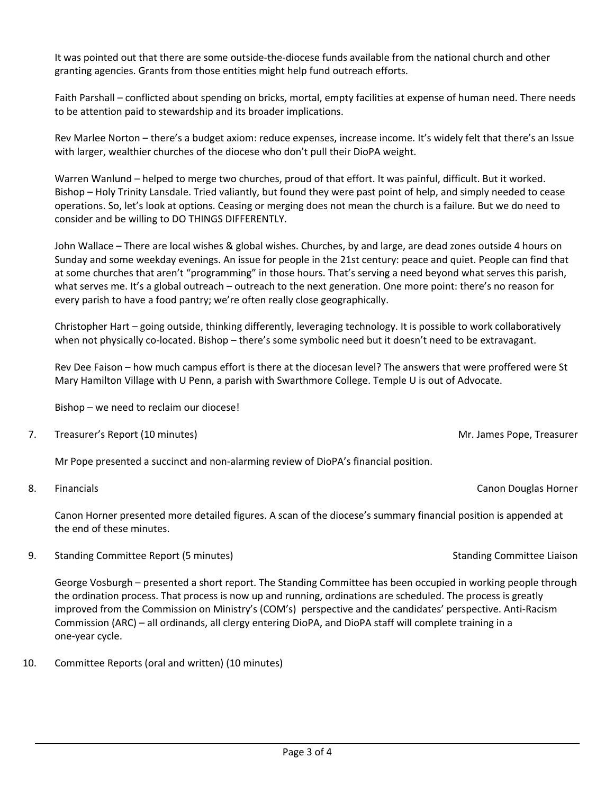It was pointed out that there are some outside-the-diocese funds available from the national church and other granting agencies. Grants from those entities might help fund outreach efforts.

Faith Parshall – conflicted about spending on bricks, mortal, empty facilities at expense of human need. There needs to be attention paid to stewardship and its broader implications.

Rev Marlee Norton – there's a budget axiom: reduce expenses, increase income. It's widely felt that there's an Issue with larger, wealthier churches of the diocese who don't pull their DioPA weight.

Warren Wanlund – helped to merge two churches, proud of that effort. It was painful, difficult. But it worked. Bishop – Holy Trinity Lansdale. Tried valiantly, but found they were past point of help, and simply needed to cease operations. So, let's look at options. Ceasing or merging does not mean the church is a failure. But we do need to consider and be willing to DO THINGS DIFFERENTLY.

John Wallace – There are local wishes & global wishes. Churches, by and large, are dead zones outside 4 hours on Sunday and some weekday evenings. An issue for people in the 21st century: peace and quiet. People can find that at some churches that aren't "programming" in those hours. That's serving a need beyond what serves this parish, what serves me. It's a global outreach – outreach to the next generation. One more point: there's no reason for every parish to have a food pantry; we're often really close geographically.

Christopher Hart – going outside, thinking differently, leveraging technology. It is possible to work collaboratively when not physically co-located. Bishop – there's some symbolic need but it doesn't need to be extravagant.

Rev Dee Faison – how much campus effort is there at the diocesan level? The answers that were proffered were St Mary Hamilton Village with U Penn, a parish with Swarthmore College. Temple U is out of Advocate.

Bishop – we need to reclaim our diocese!

7. Treasurer's Report (10 minutes) Mr. James Pope, Treasurer Mr. James Pope, Treasurer

Mr Pope presented a succinct and non-alarming review of DioPA's financial position.

8. Financials **Canon Douglas Horner** Canon Douglas Horner Canon Douglas Horner Canon Douglas Horner

Canon Horner presented more detailed figures. A scan of the diocese's summary financial position is appended at the end of these minutes.

9. Standing Committee Report (5 minutes) Standing Committee Liaison Standing Committee Liaison

George Vosburgh – presented a short report. The Standing Committee has been occupied in working people through the ordination process. That process is now up and running, ordinations are scheduled. The process is greatly improved from the Commission on Ministry's (COM's) perspective and the candidates' perspective. Anti-Racism Commission (ARC) – all ordinands, all clergy entering DioPA, and DioPA staff will complete training in a one-year cycle.

10. Committee Reports (oral and written) (10 minutes)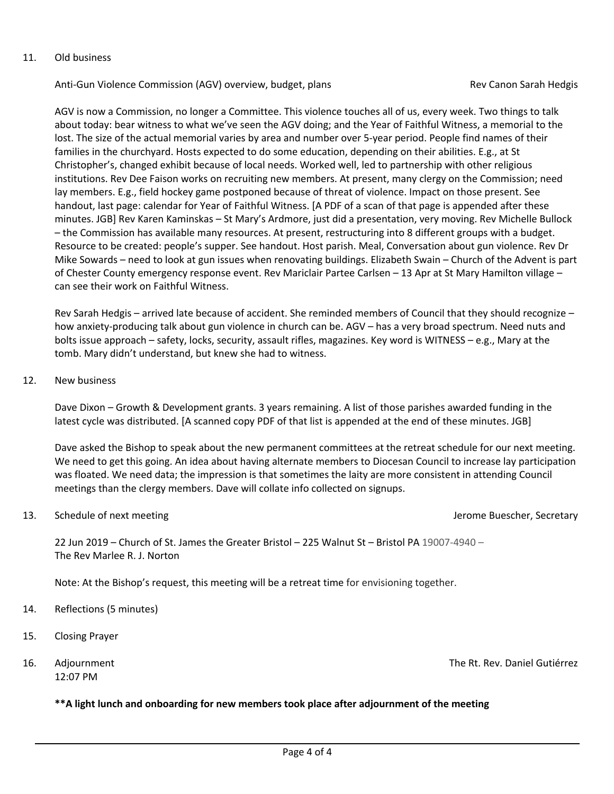#### 11. Old business

Anti-Gun Violence Commission (AGV) overview, budget, plans Review Rev Canon Sarah Hedgis

AGV is now a Commission, no longer a Committee. This violence touches all of us, every week. Two things to talk about today: bear witness to what we've seen the AGV doing; and the Year of Faithful Witness, a memorial to the lost. The size of the actual memorial varies by area and number over 5-year period. People find names of their families in the churchyard. Hosts expected to do some education, depending on their abilities. E.g., at St Christopher's, changed exhibit because of local needs. Worked well, led to partnership with other religious institutions. Rev Dee Faison works on recruiting new members. At present, many clergy on the Commission; need lay members. E.g., field hockey game postponed because of threat of violence. Impact on those present. See handout, last page: calendar for Year of Faithful Witness. [A PDF of a scan of that page is appended after these minutes. JGB] Rev Karen Kaminskas – St Mary's Ardmore, just did a presentation, very moving. Rev Michelle Bullock – the Commission has available many resources. At present, restructuring into 8 different groups with a budget. Resource to be created: people's supper. See handout. Host parish. Meal, Conversation about gun violence. Rev Dr Mike Sowards – need to look at gun issues when renovating buildings. Elizabeth Swain – Church of the Advent is part of Chester County emergency response event. Rev Mariclair Partee Carlsen – 13 Apr at St Mary Hamilton village – can see their work on Faithful Witness.

Rev Sarah Hedgis – arrived late because of accident. She reminded members of Council that they should recognize – how anxiety-producing talk about gun violence in church can be. AGV – has a very broad spectrum. Need nuts and bolts issue approach – safety, locks, security, assault rifles, magazines. Key word is WITNESS – e.g., Mary at the tomb. Mary didn't understand, but knew she had to witness.

12. New business

Dave Dixon – Growth & Development grants. 3 years remaining. A list of those parishes awarded funding in the latest cycle was distributed. [A scanned copy PDF of that list is appended at the end of these minutes. JGB]

Dave asked the Bishop to speak about the new permanent committees at the retreat schedule for our next meeting. We need to get this going. An idea about having alternate members to Diocesan Council to increase lay participation was floated. We need data; the impression is that sometimes the laity are more consistent in attending Council meetings than the clergy members. Dave will collate info collected on signups.

#### 13. Schedule of next meeting  $\blacksquare$  and  $\blacksquare$  and  $\blacksquare$  are setting  $\blacksquare$  are setting  $\blacksquare$  are setting  $\blacksquare$

22 Jun 2019 – Church of St. James the Greater Bristol – 225 Walnut St – Bristol PA 19007-4940 – The Rev Marlee R. J. Norton

Note: At the Bishop's request, this meeting will be a retreat time for envisioning together.

- 14. Reflections (5 minutes)
- 15. Closing Prayer
- 12:07 PM

16. Adjournment The Rt. Rev. Daniel Gutiérrez

#### **\*\*A light lunch and onboarding for new members took place after adjournment of the meeting**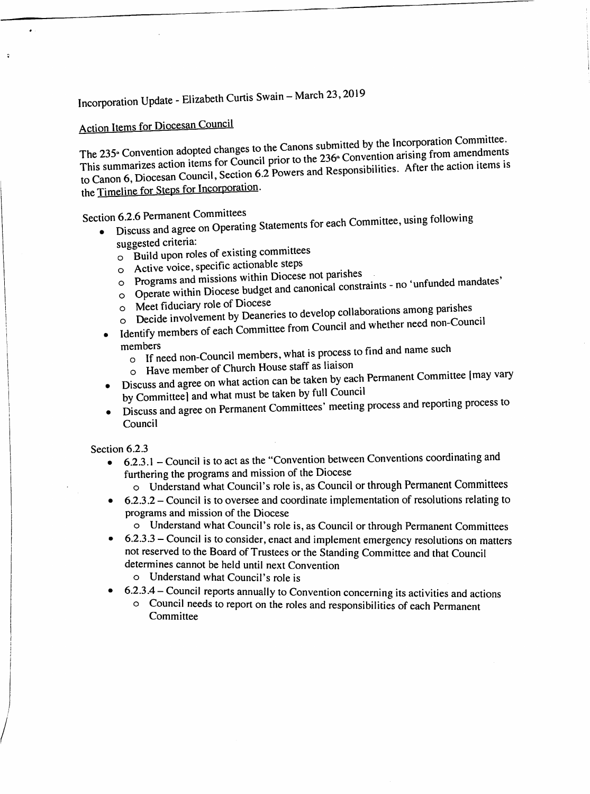Incorporation Update - Elizabeth Curtis Swain - March 23, 2019

# **Action Items for Diocesan Council**

The 235<sup>\*</sup> Convention adopted changes to the Canons submitted by the Incorporation Committee. This summarizes action items for Council prior to the 236<sup>th</sup> Convention arising from amendments to Canon 6, Diocesan Council, Section 6.2 Powers and Responsibilities. After the action items is the Timeline for Steps for Incorporation.

Section 6.2.6 Permanent Committees

Discuss and agree on Operating Statements for each Committee, using following

- suggested criteria:
	- o Build upon roles of existing committees
	- o Active voice, specific actionable steps
	- o Programs and missions within Diocese not parishes
	- o Operate within Diocese budget and canonical constraints no 'unfunded mandates'
	- o Meet fiduciary role of Diocese
	- o Decide involvement by Deaneries to develop collaborations among parishes
	- Identify members of each Committee from Council and whether need non-Council

### members

- o If need non-Council members, what is process to find and name such
- o Have member of Church House staff as liaison
- Discuss and agree on what action can be taken by each Permanent Committee [may vary
- by Committee] and what must be taken by full Council
- Discuss and agree on Permanent Committees' meeting process and reporting process to Council

#### Section 6.2.3

- 6.2.3.1 Council is to act as the "Convention between Conventions coordinating and  $\bullet$ furthering the programs and mission of the Diocese
	- o Understand what Council's role is, as Council or through Permanent Committees
- $6.2.3.2$  Council is to oversee and coordinate implementation of resolutions relating to programs and mission of the Diocese
	- Understand what Council's role is, as Council or through Permanent Committees
- 6.2.3.3 Council is to consider, enact and implement emergency resolutions on matters not reserved to the Board of Trustees or the Standing Committee and that Council determines cannot be held until next Convention
	- o Understand what Council's role is
- 6.2.3.4 Council reports annually to Convention concerning its activities and actions
	- o Council needs to report on the roles and responsibilities of each Permanent Committee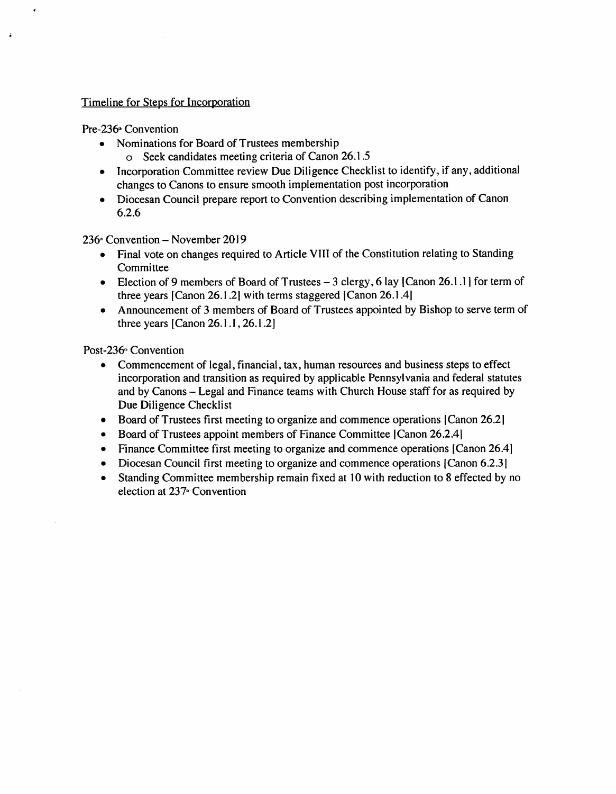#### Timeline for Steps for Incorporation

#### Pre-236<sup>\*</sup> Convention

- Nominations for Board of Trustees membership
	- o Seek candidates meeting criteria of Canon 26.1.5
- Incorporation Committee review Due Diligence Checklist to identify, if any, additional changes to Canons to ensure smooth implementation post incorporation
- Diocesan Council prepare report to Convention describing implementation of Canon 6.2.6

236<sup>th</sup> Convention – November 2019

- Final vote on changes required to Article VIII of the Constitution relating to Standing Committee
- Election of 9 members of Board of Trustees  $-3$  clergy, 6 lay [Canon 26.1.1] for term of three years [Canon 26.1.2] with terms staggered [Canon 26.1.4]
- Announcement of 3 members of Board of Trustees appointed by Bishop to serve term of three years [Canon  $26.1.1$ ,  $26.1.2$ ]

Post-236<sup>\*</sup> Convention

- Commencement of legal, financial, tax, human resources and business steps to effect incorporation and transition as required by applicable Pennsylvania and federal statutes and by Canons – Legal and Finance teams with Church House staff for as required by Due Diligence Checklist
- Board of Trustees first meeting to organize and commence operations [Canon 26.2]
- Board of Trustees appoint members of Finance Committee [Canon 26.2.4]
- Finance Committee first meeting to organize and commence operations [Canon 26.4]
- Diocesan Council first meeting to organize and commence operations [Canon 6.2.3]
- Standing Committee membership remain fixed at 10 with reduction to 8 effected by no election at 237<sup>®</sup> Convention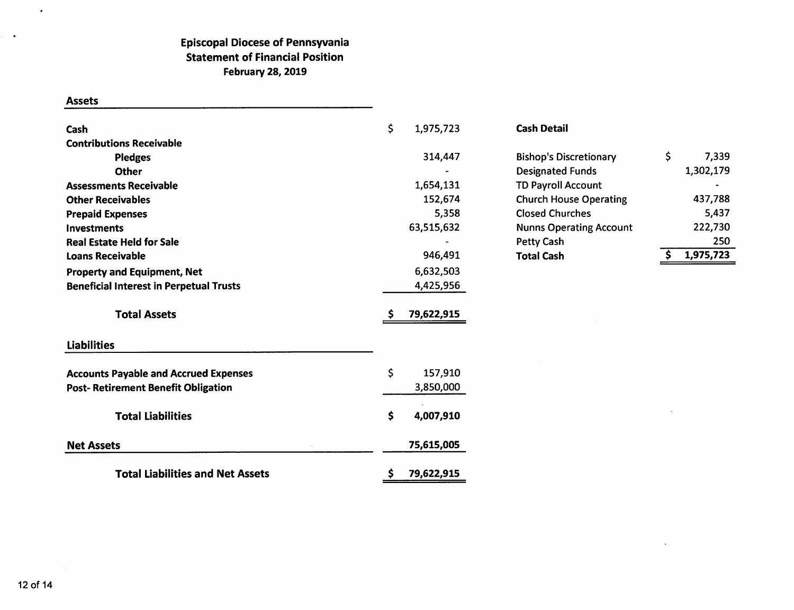### **Episcopal Diocese of Pennsyvania Statement of Financial Position February 28, 2019**

#### **Assets**

 $\bullet$ 

 $\langle \cdot \rangle$ 

| Cash                                           | \$<br>1,975,723  | <b>Cash Detail</b>             |                 |
|------------------------------------------------|------------------|--------------------------------|-----------------|
| <b>Contributions Receivable</b>                |                  |                                |                 |
| <b>Pledges</b>                                 | 314,447          | <b>Bishop's Discretionary</b>  | \$<br>7,339     |
| <b>Other</b>                                   |                  | <b>Designated Funds</b>        | 1,302,179       |
| <b>Assessments Receivable</b>                  | 1,654,131        | <b>TD Payroll Account</b>      |                 |
| <b>Other Receivables</b>                       | 152,674          | <b>Church House Operating</b>  | 437,788         |
| <b>Prepaid Expenses</b>                        | 5,358            | <b>Closed Churches</b>         | 5,437           |
| Investments                                    | 63,515,632       | <b>Nunns Operating Account</b> | 222,730         |
| <b>Real Estate Held for Sale</b>               |                  | Petty Cash                     | 250             |
| <b>Loans Receivable</b>                        | 946,491          | <b>Total Cash</b>              | 1,975,723<br>-S |
| <b>Property and Equipment, Net</b>             | 6,632,503        |                                |                 |
| <b>Beneficial Interest in Perpetual Trusts</b> | 4,425,956        |                                |                 |
| <b>Total Assets</b>                            | 79,622,915       |                                |                 |
| <b>Liabilities</b>                             |                  |                                |                 |
| <b>Accounts Payable and Accrued Expenses</b>   | \$<br>157,910    |                                |                 |
| <b>Post- Retirement Benefit Obligation</b>     | 3,850,000        |                                |                 |
| <b>Total Liabilities</b>                       | \$<br>4,007,910  |                                |                 |
| <b>Net Assets</b>                              | 75,615,005       |                                |                 |
| <b>Total Liabilities and Net Assets</b>        | \$<br>79,622,915 |                                |                 |

 $\sim$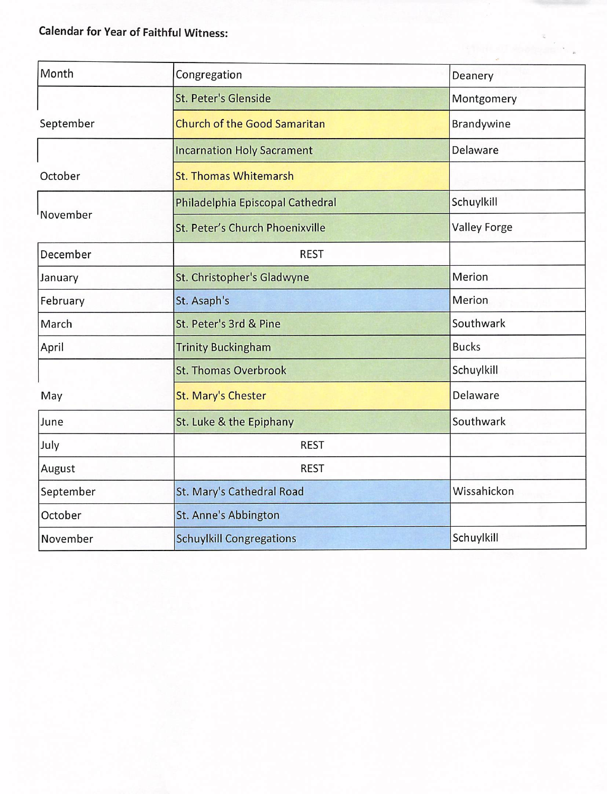## **Calendar for Year of Faithful Witness:**

| Month                           | Congregation                                  | Deanery             |  |
|---------------------------------|-----------------------------------------------|---------------------|--|
| St. Peter's Glenside            |                                               | Montgomery          |  |
| September                       | <b>Church of the Good Samaritan</b>           | Brandywine          |  |
|                                 | <b>Incarnation Holy Sacrament</b>             | Delaware            |  |
| October                         | <b>St. Thomas Whitemarsh</b>                  |                     |  |
|                                 | Philadelphia Episcopal Cathedral              | Schuylkill          |  |
| <sup>l</sup> November           | St. Peter's Church Phoenixville               | <b>Valley Forge</b> |  |
| December                        | <b>REST</b>                                   |                     |  |
| January                         | St. Christopher's Gladwyne                    | Merion              |  |
| February<br>St. Asaph's         |                                               | Merion              |  |
| St. Peter's 3rd & Pine<br>March |                                               | Southwark           |  |
| April                           | <b>Trinity Buckingham</b>                     | <b>Bucks</b>        |  |
|                                 | <b>St. Thomas Overbrook</b>                   | Schuylkill          |  |
| May                             | <b>St. Mary's Chester</b>                     | Delaware            |  |
| June                            | St. Luke & the Epiphany                       | Southwark           |  |
| July                            | <b>REST</b>                                   |                     |  |
| August                          | <b>REST</b>                                   |                     |  |
| September                       | St. Mary's Cathedral Road                     | Wissahickon         |  |
| October                         | St. Anne's Abbington                          |                     |  |
| November                        | Schuylkill<br><b>Schuylkill Congregations</b> |                     |  |

**The of Aberma's**